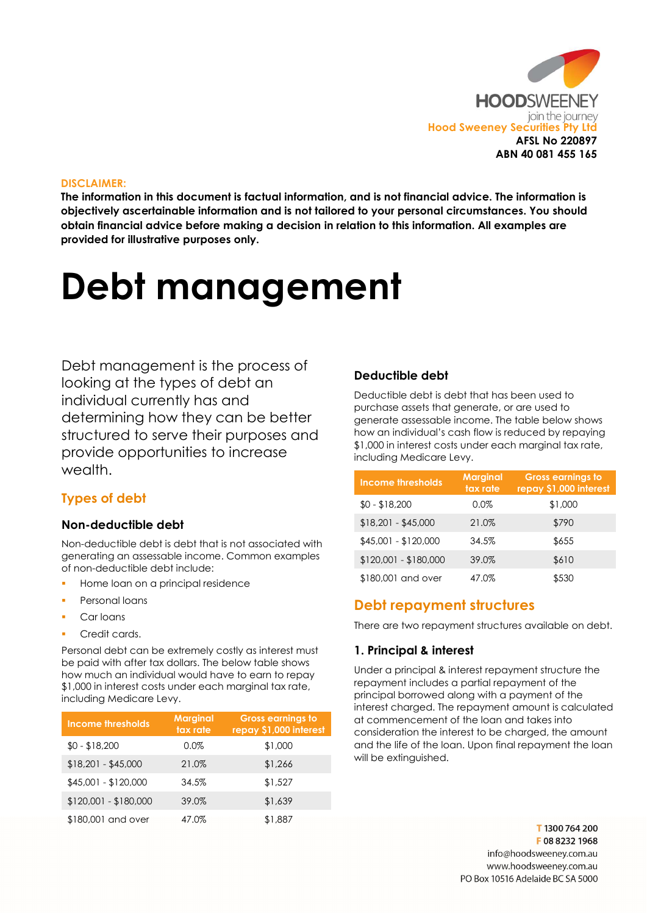

#### DISCLAIMER:

The information in this document is factual information, and is not financial advice. The information is objectively ascertainable information and is not tailored to your personal circumstances. You should obtain financial advice before making a decision in relation to this information. All examples are provided for illustrative purposes only.

# Debt management

Debt management is the process of looking at the types of debt an individual currently has and determining how they can be better structured to serve their purposes and provide opportunities to increase wealth

# Types of debt

#### Non-deductible debt

Non-deductible debt is debt that is not associated with generating an assessable income. Common examples of non-deductible debt include:

- Home loan on a principal residence
- Personal loans
- Car loans
- Credit cards.

Personal debt can be extremely costly as interest must be paid with after tax dollars. The below table shows how much an individual would have to earn to repay \$1,000 in interest costs under each marginal tax rate, including Medicare Levy.

| Income thresholds     | <b>Marginal</b><br>tax rate | <b>Gross earnings to</b><br>repay \$1,000 interest |
|-----------------------|-----------------------------|----------------------------------------------------|
| $$0 - $18,200$        | 0.0%                        | \$1,000                                            |
| $$18,201 - $45,000$   | 21.0%                       | \$1,266                                            |
| \$45,001 - \$120,000  | 34.5%                       | \$1,527                                            |
| $$120,001 - $180,000$ | 39.0%                       | \$1,639                                            |
| \$180,001 and over    | 47.0%                       | \$1,887                                            |

#### Deductible debt

Deductible debt is debt that has been used to purchase assets that generate, or are used to generate assessable income. The table below shows how an individual's cash flow is reduced by repaying \$1,000 in interest costs under each marginal tax rate, including Medicare Levy.

| Income thresholds     | <b>Marginal</b><br>tax rate | <b>Gross earnings to</b><br>repay \$1,000 interest |
|-----------------------|-----------------------------|----------------------------------------------------|
| $$0 - $18,200$        | $0.0\%$                     | \$1,000                                            |
| $$18,201 - $45,000$   | 21.0%                       | \$790                                              |
| \$45,001 - \$120,000  | 34.5%                       | \$655                                              |
| \$120,001 - \$180,000 | 39.0%                       | \$610                                              |
| \$180,001 and over    | 47.0%                       | \$530                                              |

# Debt repayment structures

There are two repayment structures available on debt.

# 1. Principal & interest

Under a principal & interest repayment structure the repayment includes a partial repayment of the principal borrowed along with a payment of the interest charged. The repayment amount is calculated at commencement of the loan and takes into consideration the interest to be charged, the amount and the life of the loan. Upon final repayment the loan will be extinguished.

> T1300 764 200 F0882321968 info@hoodsweenev.com.au www.hoodsweeney.com.au PO Box 10516 Adelaide BC SA 5000